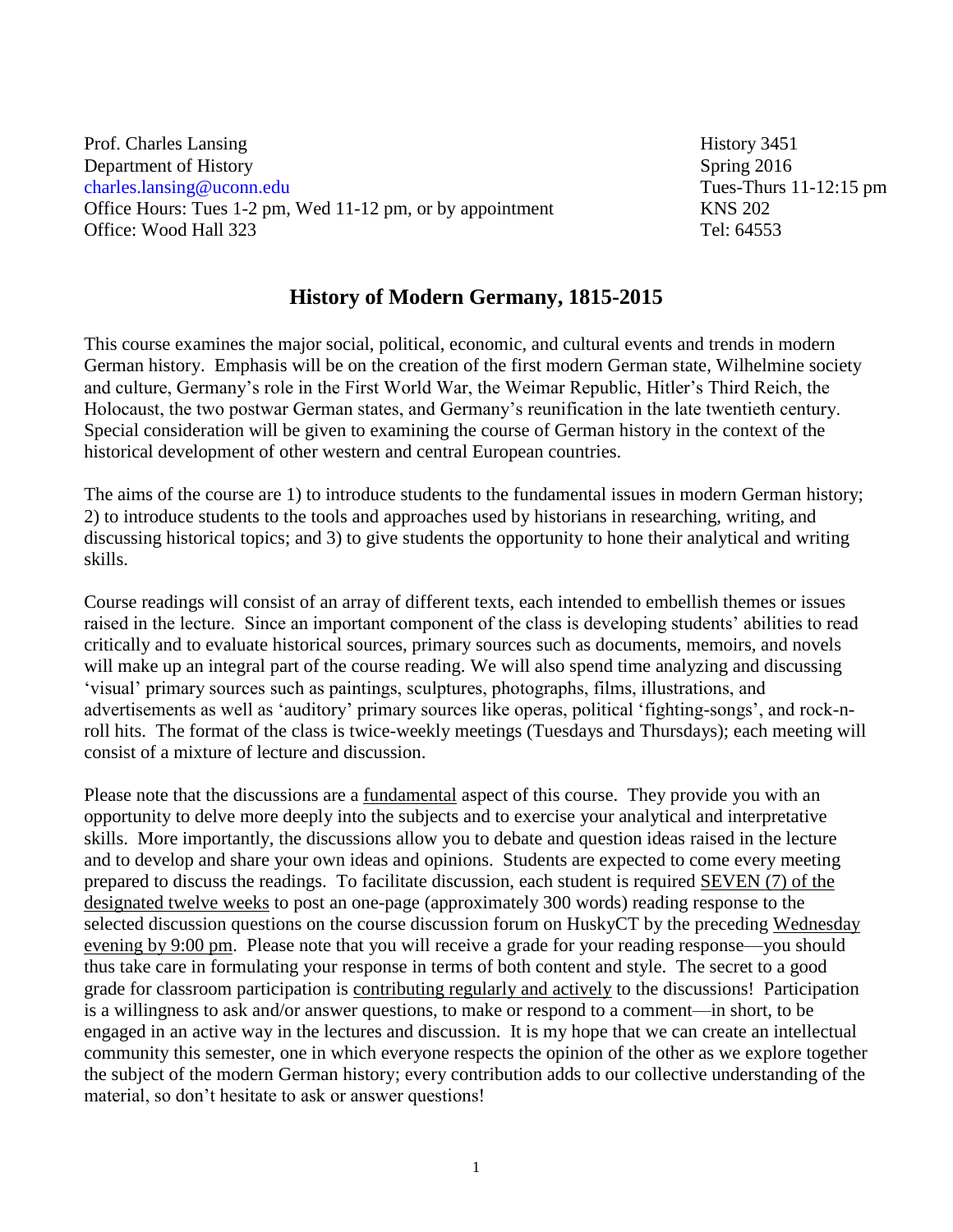Prof. Charles Lansing History 3451 Department of History Spring 2016 [charles.lansing@uconn.edu](mailto:charles.lansing@uconn.edu)Tues-Thurs 11-12:15 pm Office Hours: Tues 1-2 pm, Wed 11-12 pm, or by appointment KNS 202 Office: Wood Hall 323 Tel: 64553

## **History of Modern Germany, 1815-2015**

This course examines the major social, political, economic, and cultural events and trends in modern German history. Emphasis will be on the creation of the first modern German state, Wilhelmine society and culture, Germany's role in the First World War, the Weimar Republic, Hitler's Third Reich, the Holocaust, the two postwar German states, and Germany's reunification in the late twentieth century. Special consideration will be given to examining the course of German history in the context of the historical development of other western and central European countries.

The aims of the course are 1) to introduce students to the fundamental issues in modern German history; 2) to introduce students to the tools and approaches used by historians in researching, writing, and discussing historical topics; and 3) to give students the opportunity to hone their analytical and writing skills.

Course readings will consist of an array of different texts, each intended to embellish themes or issues raised in the lecture. Since an important component of the class is developing students' abilities to read critically and to evaluate historical sources, primary sources such as documents, memoirs, and novels will make up an integral part of the course reading. We will also spend time analyzing and discussing 'visual' primary sources such as paintings, sculptures, photographs, films, illustrations, and advertisements as well as 'auditory' primary sources like operas, political 'fighting-songs', and rock-nroll hits. The format of the class is twice-weekly meetings (Tuesdays and Thursdays); each meeting will consist of a mixture of lecture and discussion.

Please note that the discussions are a fundamental aspect of this course. They provide you with an opportunity to delve more deeply into the subjects and to exercise your analytical and interpretative skills. More importantly, the discussions allow you to debate and question ideas raised in the lecture and to develop and share your own ideas and opinions. Students are expected to come every meeting prepared to discuss the readings. To facilitate discussion, each student is required SEVEN (7) of the designated twelve weeks to post an one-page (approximately 300 words) reading response to the selected discussion questions on the course discussion forum on HuskyCT by the preceding Wednesday evening by 9:00 pm. Please note that you will receive a grade for your reading response—you should thus take care in formulating your response in terms of both content and style. The secret to a good grade for classroom participation is contributing regularly and actively to the discussions! Participation is a willingness to ask and/or answer questions, to make or respond to a comment—in short, to be engaged in an active way in the lectures and discussion. It is my hope that we can create an intellectual community this semester, one in which everyone respects the opinion of the other as we explore together the subject of the modern German history; every contribution adds to our collective understanding of the material, so don't hesitate to ask or answer questions!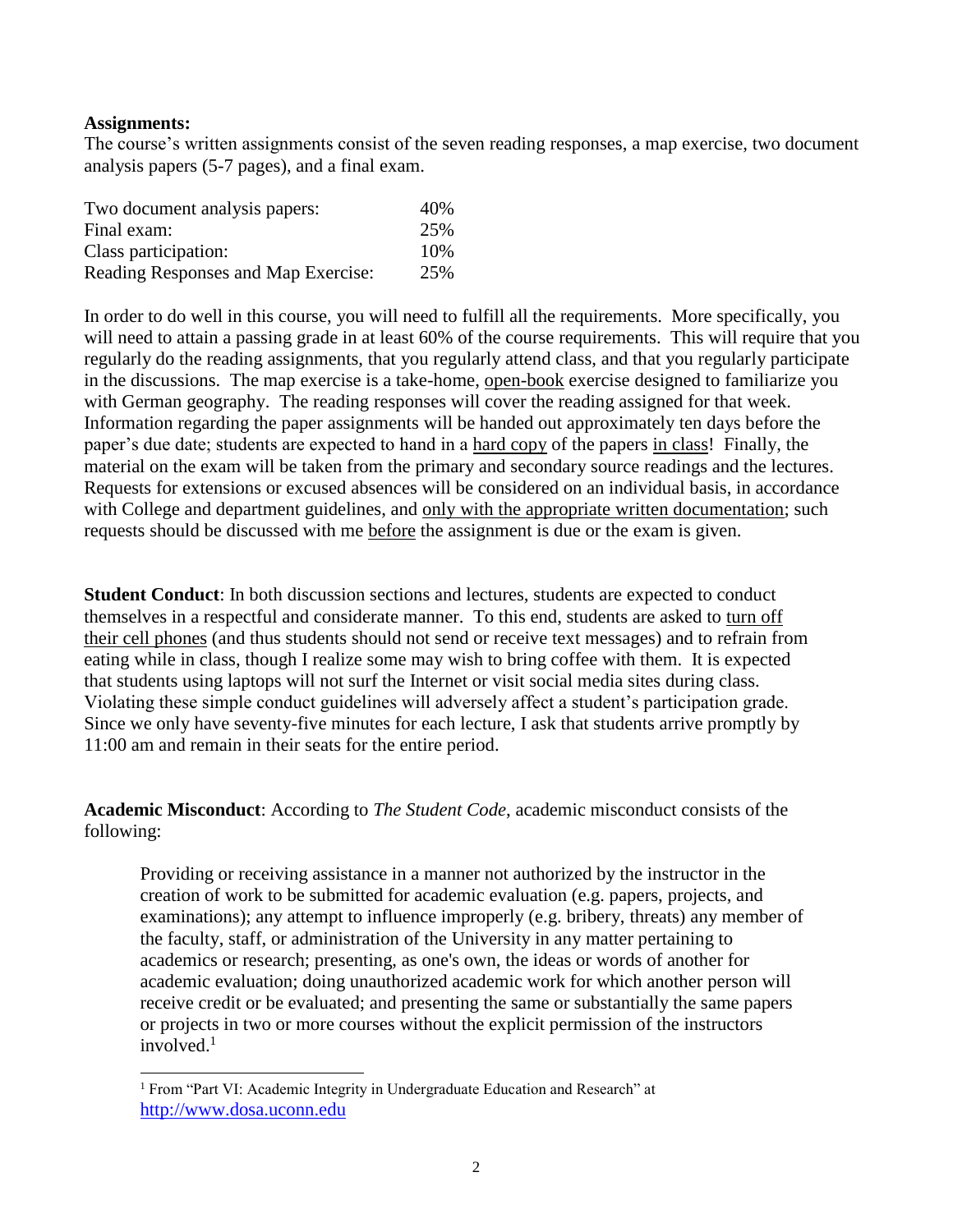## **Assignments:**

 $\overline{a}$ 

The course's written assignments consist of the seven reading responses, a map exercise, two document analysis papers (5-7 pages), and a final exam.

| Two document analysis papers:       | 40\% |
|-------------------------------------|------|
| Final exam:                         | 25%  |
| Class participation:                | 10%  |
| Reading Responses and Map Exercise: | 25%  |

In order to do well in this course, you will need to fulfill all the requirements. More specifically, you will need to attain a passing grade in at least 60% of the course requirements. This will require that you regularly do the reading assignments, that you regularly attend class, and that you regularly participate in the discussions. The map exercise is a take-home, open-book exercise designed to familiarize you with German geography. The reading responses will cover the reading assigned for that week. Information regarding the paper assignments will be handed out approximately ten days before the paper's due date; students are expected to hand in a hard copy of the papers in class! Finally, the material on the exam will be taken from the primary and secondary source readings and the lectures. Requests for extensions or excused absences will be considered on an individual basis, in accordance with College and department guidelines, and only with the appropriate written documentation; such requests should be discussed with me before the assignment is due or the exam is given.

**Student Conduct**: In both discussion sections and lectures, students are expected to conduct themselves in a respectful and considerate manner. To this end, students are asked to turn off their cell phones (and thus students should not send or receive text messages) and to refrain from eating while in class, though I realize some may wish to bring coffee with them. It is expected that students using laptops will not surf the Internet or visit social media sites during class. Violating these simple conduct guidelines will adversely affect a student's participation grade. Since we only have seventy-five minutes for each lecture, I ask that students arrive promptly by 11:00 am and remain in their seats for the entire period.

**Academic Misconduct**: According to *The Student Code*, academic misconduct consists of the following:

Providing or receiving assistance in a manner not authorized by the instructor in the creation of work to be submitted for academic evaluation (e.g. papers, projects, and examinations); any attempt to influence improperly (e.g. bribery, threats) any member of the faculty, staff, or administration of the University in any matter pertaining to academics or research; presenting, as one's own, the ideas or words of another for academic evaluation; doing unauthorized academic work for which another person will receive credit or be evaluated; and presenting the same or substantially the same papers or projects in two or more courses without the explicit permission of the instructors involved.<sup>1</sup>

<sup>&</sup>lt;sup>1</sup> From "Part VI: Academic Integrity in Undergraduate Education and Research" at [http://www.dosa.uconn.edu](http://www.dosa.uconn.edu/)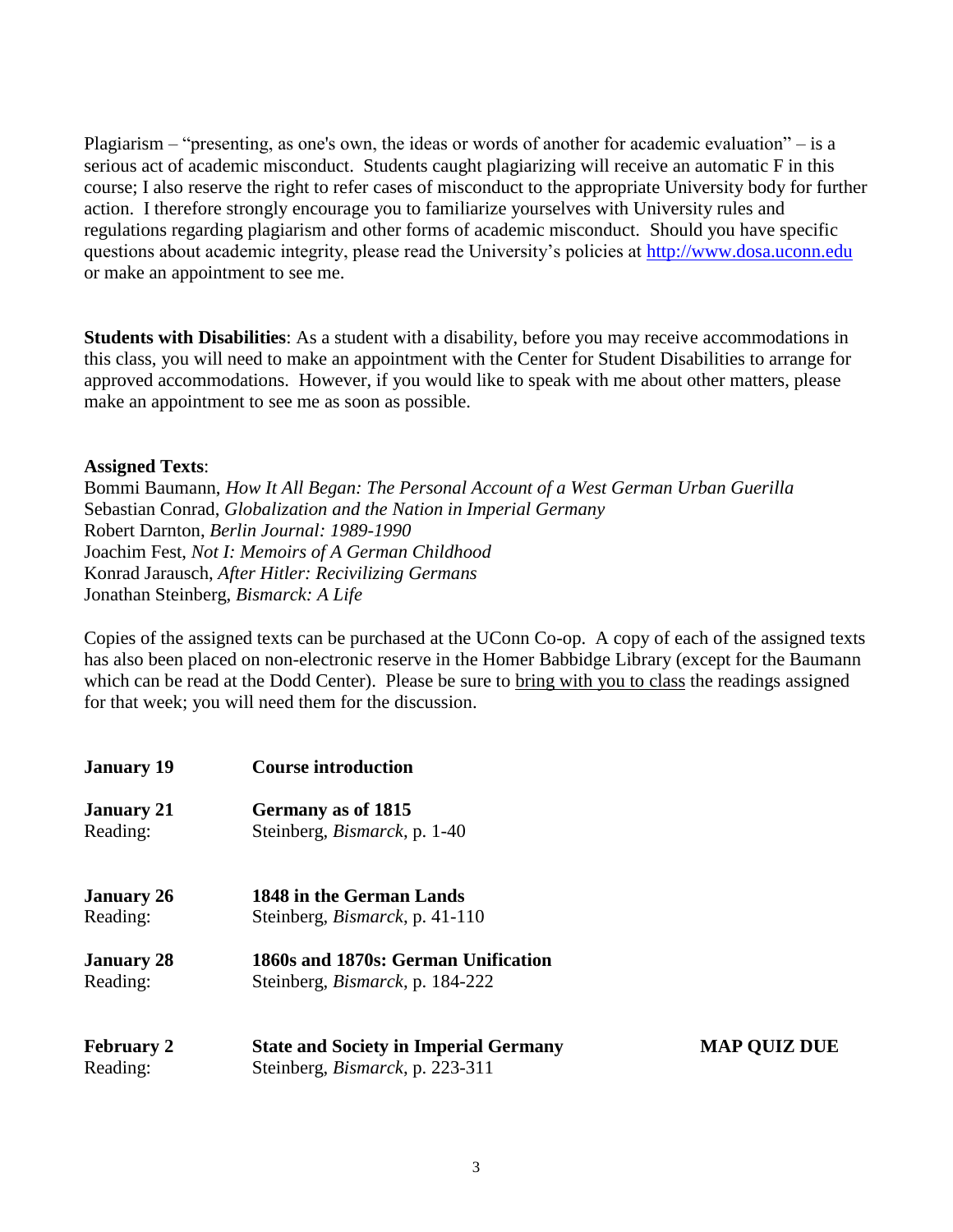Plagiarism – "presenting, as one's own, the ideas or words of another for academic evaluation" – is a serious act of academic misconduct. Students caught plagiarizing will receive an automatic F in this course; I also reserve the right to refer cases of misconduct to the appropriate University body for further action. I therefore strongly encourage you to familiarize yourselves with University rules and regulations regarding plagiarism and other forms of academic misconduct. Should you have specific questions about academic integrity, please read the University's policies at [http://www.dosa.uconn.edu](http://www.dosa.uconn.edu/) or make an appointment to see me.

**Students with Disabilities**: As a student with a disability, before you may receive accommodations in this class, you will need to make an appointment with the Center for Student Disabilities to arrange for approved accommodations. However, if you would like to speak with me about other matters, please make an appointment to see me as soon as possible.

## **Assigned Texts**:

Bommi Baumann, *How It All Began: The Personal Account of a West German Urban Guerilla* Sebastian Conrad, *Globalization and the Nation in Imperial Germany* Robert Darnton, *Berlin Journal: 1989-1990* Joachim Fest, *Not I: Memoirs of A German Childhood* Konrad Jarausch, *After Hitler: Recivilizing Germans* Jonathan Steinberg, *Bismarck: A Life*

Copies of the assigned texts can be purchased at the UConn Co-op. A copy of each of the assigned texts has also been placed on non-electronic reserve in the Homer Babbidge Library (except for the Baumann which can be read at the Dodd Center). Please be sure to bring with you to class the readings assigned for that week; you will need them for the discussion.

| <b>January 19</b>             | <b>Course introduction</b>                                                              |                     |
|-------------------------------|-----------------------------------------------------------------------------------------|---------------------|
| <b>January 21</b><br>Reading: | Germany as of 1815<br>Steinberg, <i>Bismarck</i> , p. 1-40                              |                     |
| <b>January 26</b><br>Reading: | 1848 in the German Lands<br>Steinberg, <i>Bismarck</i> , p. 41-110                      |                     |
| <b>January 28</b><br>Reading: | 1860s and 1870s: German Unification<br>Steinberg, <i>Bismarck</i> , p. 184-222          |                     |
| <b>February 2</b><br>Reading: | <b>State and Society in Imperial Germany</b><br>Steinberg, <i>Bismarck</i> , p. 223-311 | <b>MAP QUIZ DUE</b> |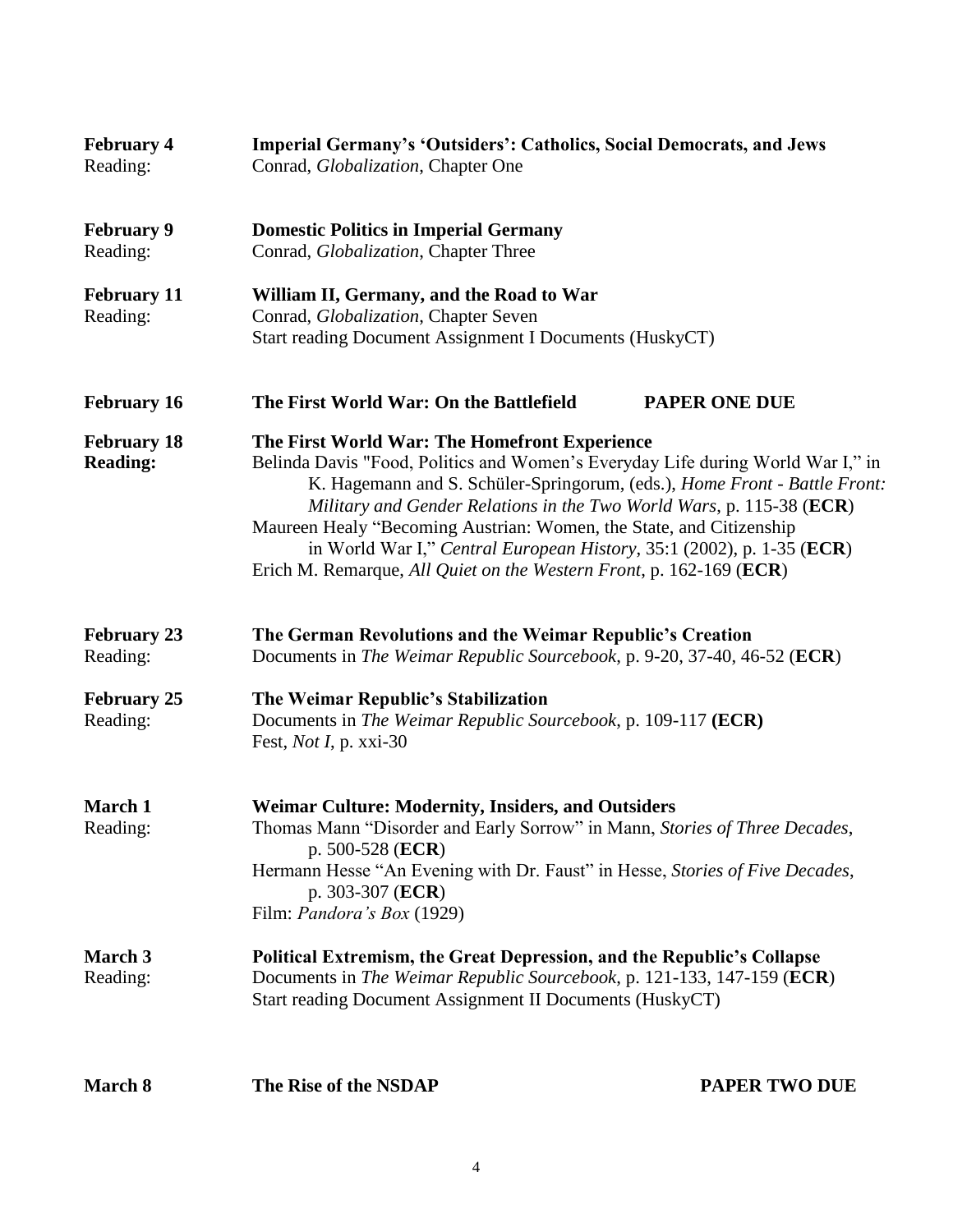| <b>February 4</b><br>Reading:         | Imperial Germany's 'Outsiders': Catholics, Social Democrats, and Jews<br>Conrad, <i>Globalization</i> , Chapter One                                                                                                                                                                                                                                                                                                                                                                                          |                      |
|---------------------------------------|--------------------------------------------------------------------------------------------------------------------------------------------------------------------------------------------------------------------------------------------------------------------------------------------------------------------------------------------------------------------------------------------------------------------------------------------------------------------------------------------------------------|----------------------|
| <b>February 9</b><br>Reading:         | <b>Domestic Politics in Imperial Germany</b><br>Conrad, <i>Globalization</i> , Chapter Three                                                                                                                                                                                                                                                                                                                                                                                                                 |                      |
| <b>February 11</b><br>Reading:        | William II, Germany, and the Road to War<br>Conrad, Globalization, Chapter Seven<br>Start reading Document Assignment I Documents (HuskyCT)                                                                                                                                                                                                                                                                                                                                                                  |                      |
| <b>February 16</b>                    | The First World War: On the Battlefield                                                                                                                                                                                                                                                                                                                                                                                                                                                                      | <b>PAPER ONE DUE</b> |
| <b>February 18</b><br><b>Reading:</b> | The First World War: The Homefront Experience<br>Belinda Davis "Food, Politics and Women's Everyday Life during World War I," in<br>K. Hagemann and S. Schüler-Springorum, (eds.), Home Front - Battle Front:<br>Military and Gender Relations in the Two World Wars, p. 115-38 (ECR)<br>Maureen Healy "Becoming Austrian: Women, the State, and Citizenship<br>in World War I," Central European History, 35:1 (2002), p. 1-35 (ECR)<br>Erich M. Remarque, All Quiet on the Western Front, p. 162-169 (ECR) |                      |
| <b>February 23</b><br>Reading:        | The German Revolutions and the Weimar Republic's Creation<br>Documents in The Weimar Republic Sourcebook, p. 9-20, 37-40, 46-52 (ECR)                                                                                                                                                                                                                                                                                                                                                                        |                      |
| <b>February 25</b><br>Reading:        | The Weimar Republic's Stabilization<br>Documents in The Weimar Republic Sourcebook, p. 109-117 (ECR)<br>Fest, Not I, p. xxi-30                                                                                                                                                                                                                                                                                                                                                                               |                      |
| March 1<br>Reading:                   | <b>Weimar Culture: Modernity, Insiders, and Outsiders</b><br>Thomas Mann "Disorder and Early Sorrow" in Mann, Stories of Three Decades,<br>p. $500-528$ (ECR)<br>Hermann Hesse "An Evening with Dr. Faust" in Hesse, Stories of Five Decades,<br>p. 303-307 (ECR)<br>Film: <i>Pandora's Box</i> (1929)                                                                                                                                                                                                       |                      |
| <b>March 3</b><br>Reading:            | <b>Political Extremism, the Great Depression, and the Republic's Collapse</b><br>Documents in The Weimar Republic Sourcebook, p. 121-133, 147-159 (ECR)<br>Start reading Document Assignment II Documents (HuskyCT)                                                                                                                                                                                                                                                                                          |                      |
| March 8                               | The Rise of the NSDAP                                                                                                                                                                                                                                                                                                                                                                                                                                                                                        | <b>PAPER TWO DUE</b> |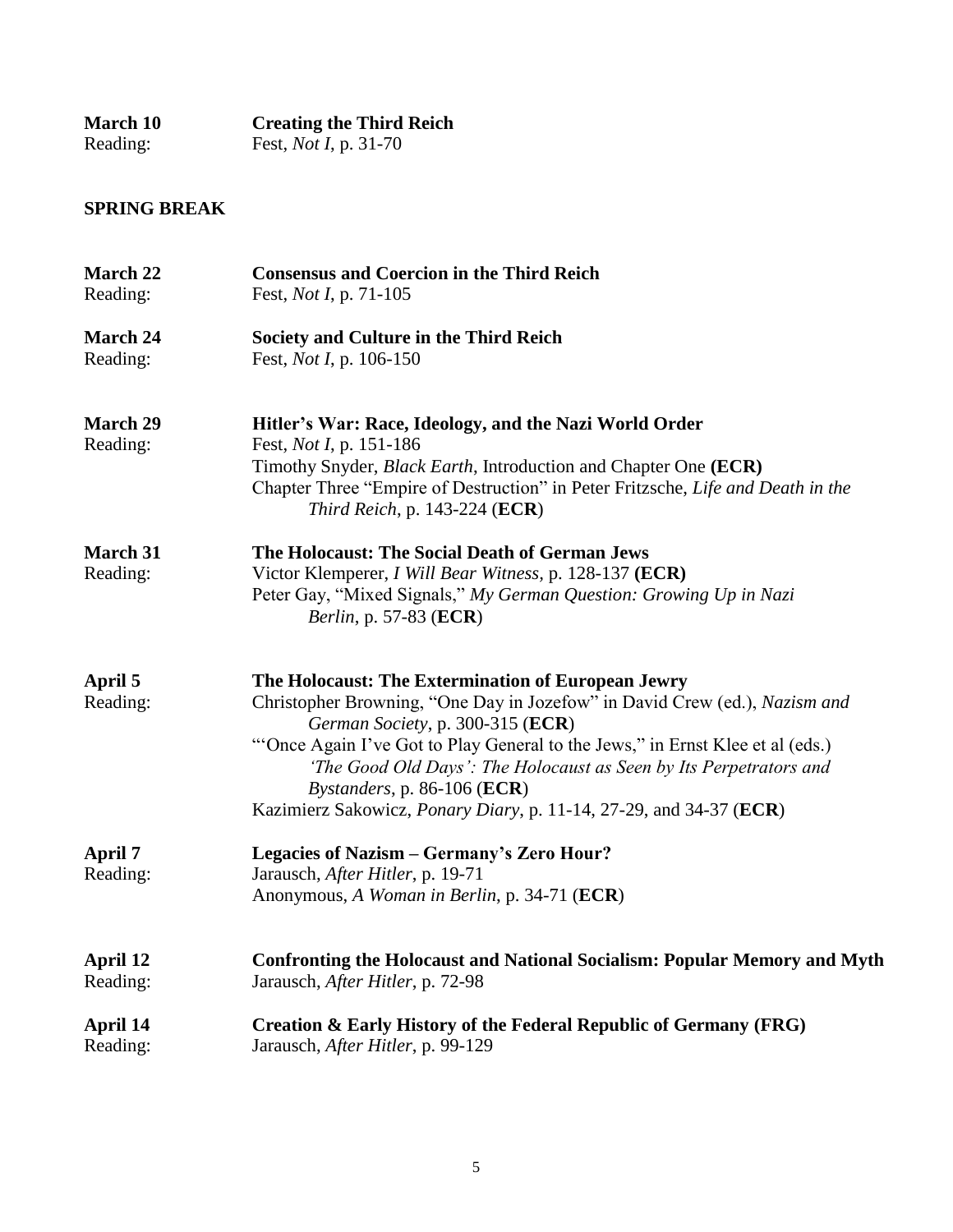| <b>March 10</b> | <b>Creating the Third Reich</b> |
|-----------------|---------------------------------|
| Reading:        | Fest, <i>Not I</i> , p. 31-70   |

## **SPRING BREAK**

| <b>March 22</b>             | <b>Consensus and Coercion in the Third Reich</b>                                                                                                                                                                                                                                                                                                                                                                                                     |
|-----------------------------|------------------------------------------------------------------------------------------------------------------------------------------------------------------------------------------------------------------------------------------------------------------------------------------------------------------------------------------------------------------------------------------------------------------------------------------------------|
| Reading:                    | Fest, <i>Not I</i> , p. 71-105                                                                                                                                                                                                                                                                                                                                                                                                                       |
| <b>March 24</b>             | Society and Culture in the Third Reich                                                                                                                                                                                                                                                                                                                                                                                                               |
| Reading:                    | Fest, <i>Not I</i> , p. 106-150                                                                                                                                                                                                                                                                                                                                                                                                                      |
| <b>March 29</b><br>Reading: | Hitler's War: Race, Ideology, and the Nazi World Order<br>Fest, <i>Not I</i> , p. 151-186<br>Timothy Snyder, <i>Black Earth</i> , Introduction and Chapter One (ECR)<br>Chapter Three "Empire of Destruction" in Peter Fritzsche, Life and Death in the<br>Third Reich, p. $143-224$ (ECR)                                                                                                                                                           |
| <b>March 31</b><br>Reading: | The Holocaust: The Social Death of German Jews<br>Victor Klemperer, <i>I Will Bear Witness</i> , p. 128-137 (ECR)<br>Peter Gay, "Mixed Signals," My German Question: Growing Up in Nazi<br><i>Berlin, p. 57-83 (ECR)</i>                                                                                                                                                                                                                             |
| April 5<br>Reading:         | The Holocaust: The Extermination of European Jewry<br>Christopher Browning, "One Day in Jozefow" in David Crew (ed.), Nazism and<br>German Society, p. 300-315 (ECR)<br>"Once Again I've Got to Play General to the Jews," in Ernst Klee et al (eds.)<br>'The Good Old Days': The Holocaust as Seen by Its Perpetrators and<br><i>Bystanders</i> , p. 86-106 ( $ECR$ )<br>Kazimierz Sakowicz, <i>Ponary Diary</i> , p. 11-14, 27-29, and 34-37 (ECR) |
| April 7<br>Reading:         | Legacies of Nazism - Germany's Zero Hour?<br>Jarausch, After Hitler, p. 19-71<br>Anonymous, A Woman in Berlin, p. 34-71 (ECR)                                                                                                                                                                                                                                                                                                                        |
| April 12                    | <b>Confronting the Holocaust and National Socialism: Popular Memory and Myth</b>                                                                                                                                                                                                                                                                                                                                                                     |
| Reading:                    | Jarausch, After Hitler, p. 72-98                                                                                                                                                                                                                                                                                                                                                                                                                     |
| April 14                    | Creation & Early History of the Federal Republic of Germany (FRG)                                                                                                                                                                                                                                                                                                                                                                                    |
| Reading:                    | Jarausch, After Hitler, p. 99-129                                                                                                                                                                                                                                                                                                                                                                                                                    |